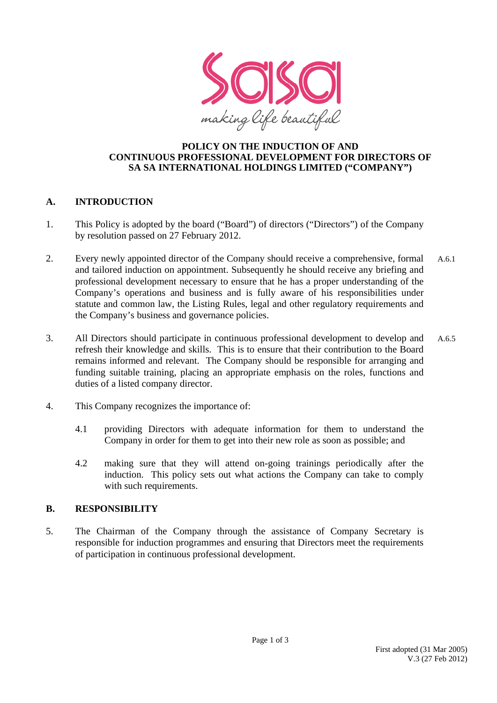

#### **POLICY ON THE INDUCTION OF AND CONTINUOUS PROFESSIONAL DEVELOPMENT FOR DIRECTORS OF SA SA INTERNATIONAL HOLDINGS LIMITED ("COMPANY")**

### **A. INTRODUCTION**

- 1. This Policy is adopted by the board ("Board") of directors ("Directors") of the Company by resolution passed on 27 February 2012.
- 2. Every newly appointed director of the Company should receive a comprehensive, formal and tailored induction on appointment. Subsequently he should receive any briefing and professional development necessary to ensure that he has a proper understanding of the Company's operations and business and is fully aware of his responsibilities under statute and common law, the Listing Rules, legal and other regulatory requirements and the Company's business and governance policies. A.6.1
- 3. All Directors should participate in continuous professional development to develop and refresh their knowledge and skills. This is to ensure that their contribution to the Board remains informed and relevant. The Company should be responsible for arranging and funding suitable training, placing an appropriate emphasis on the roles, functions and duties of a listed company director. A.6.5
- 4. This Company recognizes the importance of:
	- 4.1 providing Directors with adequate information for them to understand the Company in order for them to get into their new role as soon as possible; and
	- 4.2 making sure that they will attend on-going trainings periodically after the induction. This policy sets out what actions the Company can take to comply with such requirements.

### **B. RESPONSIBILITY**

5. The Chairman of the Company through the assistance of Company Secretary is responsible for induction programmes and ensuring that Directors meet the requirements of participation in continuous professional development.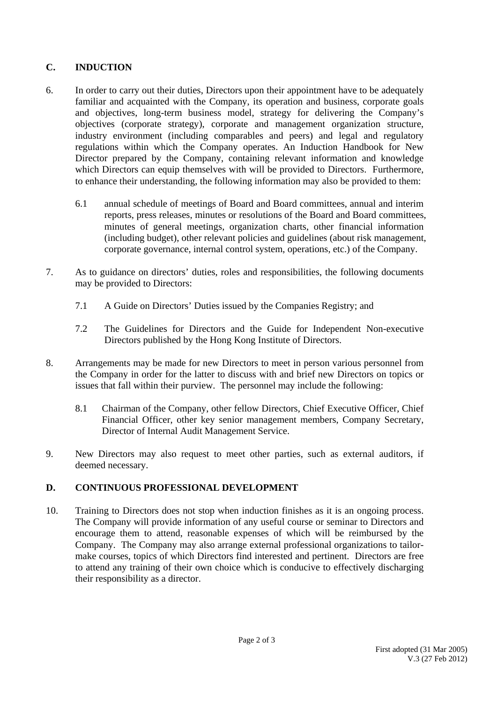# **C. INDUCTION**

- 6. In order to carry out their duties, Directors upon their appointment have to be adequately familiar and acquainted with the Company, its operation and business, corporate goals and objectives, long-term business model, strategy for delivering the Company's objectives (corporate strategy), corporate and management organization structure, industry environment (including comparables and peers) and legal and regulatory regulations within which the Company operates. An Induction Handbook for New Director prepared by the Company, containing relevant information and knowledge which Directors can equip themselves with will be provided to Directors. Furthermore, to enhance their understanding, the following information may also be provided to them:
	- 6.1 annual schedule of meetings of Board and Board committees, annual and interim reports, press releases, minutes or resolutions of the Board and Board committees, minutes of general meetings, organization charts, other financial information (including budget), other relevant policies and guidelines (about risk management, corporate governance, internal control system, operations, etc.) of the Company.
- 7. As to guidance on directors' duties, roles and responsibilities, the following documents may be provided to Directors:
	- 7.1 A Guide on Directors' Duties issued by the Companies Registry; and
	- 7.2 The Guidelines for Directors and the Guide for Independent Non-executive Directors published by the Hong Kong Institute of Directors.
- 8. Arrangements may be made for new Directors to meet in person various personnel from the Company in order for the latter to discuss with and brief new Directors on topics or issues that fall within their purview. The personnel may include the following:
	- 8.1 Chairman of the Company, other fellow Directors, Chief Executive Officer, Chief Financial Officer, other key senior management members, Company Secretary, Director of Internal Audit Management Service.
- 9. New Directors may also request to meet other parties, such as external auditors, if deemed necessary.

# **D. CONTINUOUS PROFESSIONAL DEVELOPMENT**

10. Training to Directors does not stop when induction finishes as it is an ongoing process. The Company will provide information of any useful course or seminar to Directors and encourage them to attend, reasonable expenses of which will be reimbursed by the Company. The Company may also arrange external professional organizations to tailormake courses, topics of which Directors find interested and pertinent. Directors are free to attend any training of their own choice which is conducive to effectively discharging their responsibility as a director.